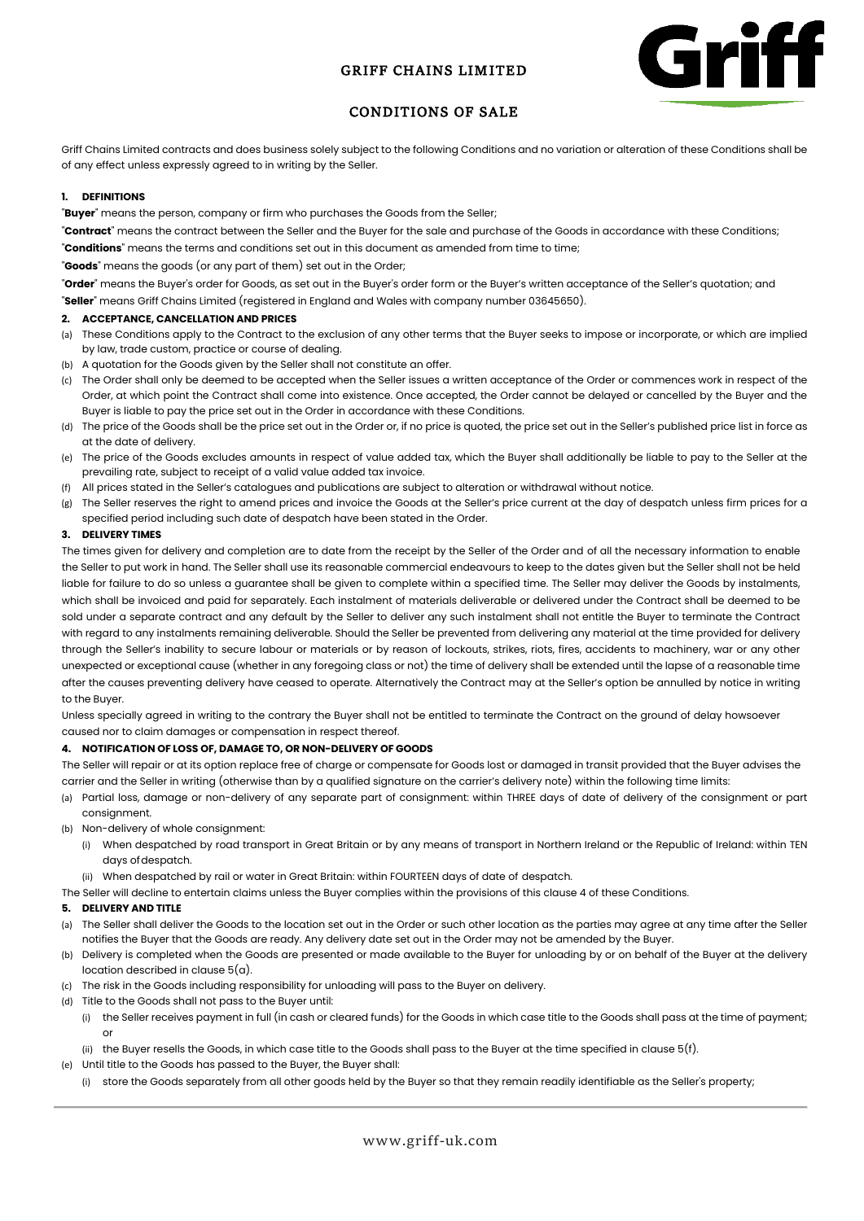# GRIFF CHAINS LIMITED



# CONDITIONS OF SALE

Griff Chains Limited contracts and does business solely subject to the following Conditions and no variation or alteration of these Conditions shall be of any effect unless expressly agreed to in writing by the Seller.

# **1. DEFINITIONS**

"**Buyer**" means the person, company or firm who purchases the Goods from the Seller;

"**Contract**" means the contract between the Seller and the Buyer for the sale and purchase of the Goods in accordance with these Conditions; "**Conditions**" means the terms and conditions set out in this document as amended from time to time;

"**Goods**" means the goods (or any part of them) set out in the Order;

"**Order**" means the Buyer's order for Goods, as set out in the Buyer's order form or the Buyer's written acceptance of the Seller's quotation; and

"**Seller**" means Griff Chains Limited (registered in England and Wales with company number 03645650).

## **2. ACCEPTANCE, CANCELLATION AND PRICES**

- (a) These Conditions apply to the Contract to the exclusion of any other terms that the Buyer seeks to impose or incorporate, or which are implied by law, trade custom, practice or course of dealing.
- (b) A quotation for the Goods given by the Seller shall not constitute an offer.
- (c) The Order shall only be deemed to be accepted when the Seller issues a written acceptance of the Order or commences work in respect of the Order, at which point the Contract shall come into existence. Once accepted, the Order cannot be delayed or cancelled by the Buyer and the Buyer is liable to pay the price set out in the Order in accordance with these Conditions.
- (d) The price of the Goods shall be the price set out in the Order or, if no price is quoted, the price set out in the Seller's published price list in force as at the date of delivery.
- (e) The price of the Goods excludes amounts in respect of value added tax, which the Buyer shall additionally be liable to pay to the Seller at the prevailing rate, subject to receipt of a valid value added tax invoice.
- (f) All prices stated in the Seller's catalogues and publications are subject to alteration or withdrawal without notice.
- (g) The Seller reserves the right to amend prices and invoice the Goods at the Seller's price current at the day of despatch unless firm prices for a specified period including such date of despatch have been stated in the Order.

# **3. DELIVERY TIMES**

The times given for delivery and completion are to date from the receipt by the Seller of the Order and of all the necessary information to enable the Seller to put work in hand. The Seller shall use its reasonable commercial endeavours to keep to the dates given but the Seller shall not be held liable for failure to do so unless a guarantee shall be given to complete within a specified time. The Seller may deliver the Goods by instalments, which shall be invoiced and paid for separately. Each instalment of materials deliverable or delivered under the Contract shall be deemed to be sold under a separate contract and any default by the Seller to deliver any such instalment shall not entitle the Buyer to terminate the Contract with regard to any instalments remaining deliverable. Should the Seller be prevented from delivering any material at the time provided for delivery through the Seller's inability to secure labour or materials or by reason of lockouts, strikes, riots, fires, accidents to machinery, war or any other unexpected or exceptional cause (whether in any foregoing class or not) the time of delivery shall be extended until the lapse of a reasonable time after the causes preventing delivery have ceased to operate. Alternatively the Contract may at the Seller's option be annulled by notice in writing to the Buyer.

Unless specially agreed in writing to the contrary the Buyer shall not be entitled to terminate the Contract on the ground of delay howsoever caused nor to claim damages or compensation in respect thereof.

## **4. NOTIFICATION OF LOSS OF, DAMAGE TO, OR NON-DELIVERY OF GOODS**

The Seller will repair or at its option replace free of charge or compensate for Goods lost or damaged in transit provided that the Buyer advises the carrier and the Seller in writing (otherwise than by a qualified signature on the carrier's delivery note) within the following time limits:

- (a) Partial loss, damage or non-delivery of any separate part of consignment: within THREE days of date of delivery of the consignment or part consignment.
- (b) Non-delivery of whole consignment:
	- (i) When despatched by road transport in Great Britain or by any means of transport in Northern Ireland or the Republic of Ireland: within TEN days of despatch.
	- (ii) When despatched by rail or water in Great Britain: within FOURTEEN days of date of despatch.
- The Seller will decline to entertain claims unless the Buyer complies within the provisions of this clause 4 of these Conditions.

# **5. DELIVERY AND TITLE**

- (a) The Seller shall deliver the Goods to the location set out in the Order or such other location as the parties may agree at any time after the Seller notifies the Buyer that the Goods are ready. Any delivery date set out in the Order may not be amended by the Buyer.
- (b) Delivery is completed when the Goods are presented or made available to the Buyer for unloading by or on behalf of the Buyer at the delivery location described in clause 5(a).
- (c) The risk in the Goods including responsibility for unloading will pass to the Buyer on delivery.
- (d) Title to the Goods shall not pass to the Buyer until:
	- (i) the Seller receives payment in full (in cash or cleared funds) for the Goods in which case title to the Goods shall pass at the time of payment; or
	- (ii) the Buyer resells the Goods, in which case title to the Goods shall pass to the Buyer at the time specified in clause  $5(f)$ .
- (e) Until title to the Goods has passed to the Buyer, the Buyer shall:
	- (i) store the Goods separately from all other goods held by the Buyer so that they remain readily identifiable as the Seller's property;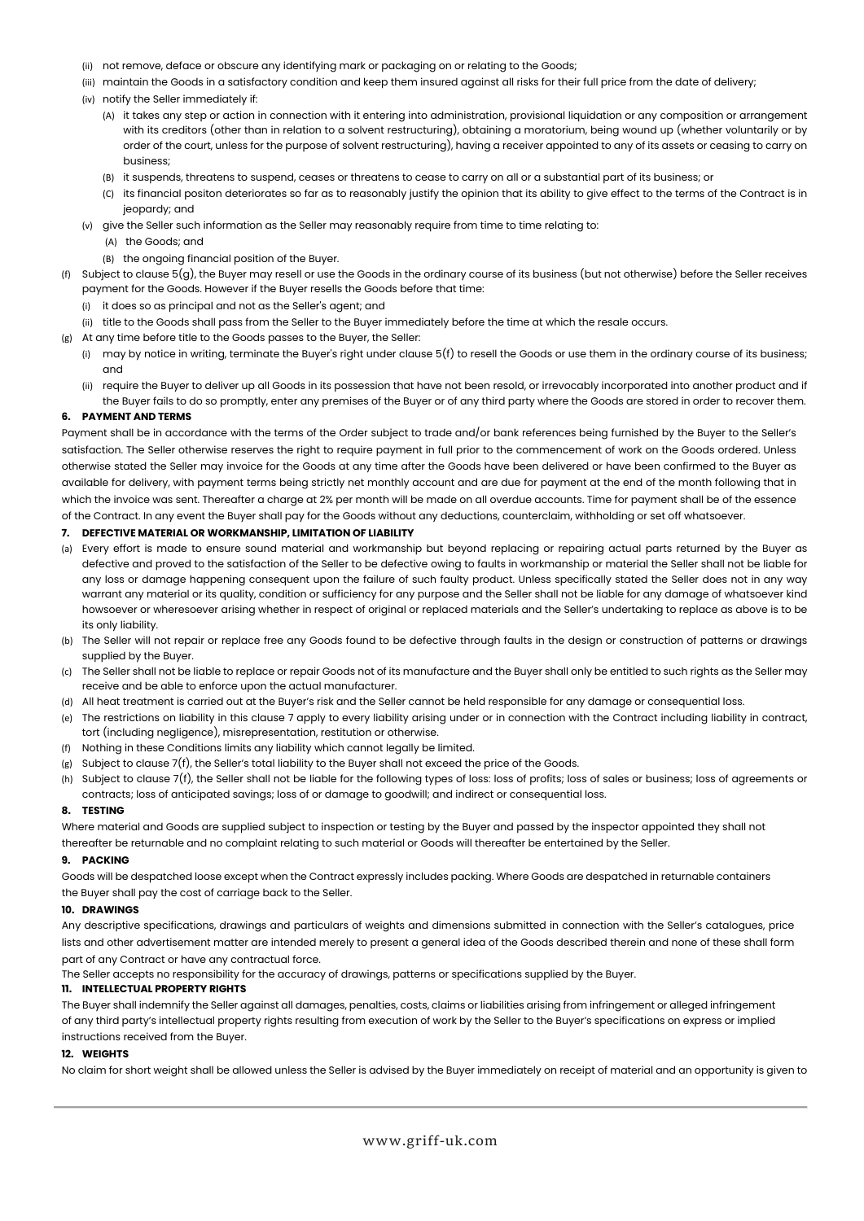- (ii) not remove, deface or obscure any identifying mark or packaging on or relating to the Goods;
- (iii) maintain the Goods in a satisfactory condition and keep them insured against all risks for their full price from the date of delivery;
- (iv) notify the Seller immediately if:
	- (A) it takes any step or action in connection with it entering into administration, provisional liquidation or any composition or arrangement with its creditors (other than in relation to a solvent restructuring), obtaining a moratorium, being wound up (whether voluntarily or by order of the court, unless for the purpose of solvent restructuring), having a receiver appointed to any of its assets or ceasing to carry on business;
	- (B) it suspends, threatens to suspend, ceases or threatens to cease to carry on all or a substantial part of its business; or
	- (C) its financial positon deteriorates so far as to reasonably justify the opinion that its ability to give effect to the terms of the Contract is in jeopardy; and
- (v) give the Seller such information as the Seller may reasonably require from time to time relating to:

(A) the Goods; and

- (B) the ongoing financial position of the Buyer.
- (f) Subject to clause  $5(q)$ , the Buyer may resell or use the Goods in the ordinary course of its business (but not otherwise) before the Seller receives payment for the Goods. However if the Buyer resells the Goods before that time:
	- (i) it does so as principal and not as the Seller's agent; and
	- (ii) title to the Goods shall pass from the Seller to the Buyer immediately before the time at which the resale occurs.
- (g) At any time before title to the Goods passes to the Buyer, the Seller:
	- (i) may by notice in writing, terminate the Buyer's right under clause  $5(f)$  to resell the Goods or use them in the ordinary course of its business; and
	- (ii) require the Buyer to deliver up all Goods in its possession that have not been resold, or irrevocably incorporated into another product and if the Buyer fails to do so promptly, enter any premises of the Buyer or of any third party where the Goods are stored in order to recover them.

## **6. PAYMENT AND TERMS**

Payment shall be in accordance with the terms of the Order subject to trade and/or bank references being furnished by the Buyer to the Seller's satisfaction. The Seller otherwise reserves the right to require payment in full prior to the commencement of work on the Goods ordered. Unless otherwise stated the Seller may invoice for the Goods at any time after the Goods have been delivered or have been confirmed to the Buyer as available for delivery, with payment terms being strictly net monthly account and are due for payment at the end of the month following that in which the invoice was sent. Thereafter a charge at 2% per month will be made on all overdue accounts. Time for payment shall be of the essence of the Contract. In any event the Buyer shall pay for the Goods without any deductions, counterclaim, withholding or set off whatsoever.

# **7. DEFECTIVE MATERIAL OR WORKMANSHIP, LIMITATION OF LIABILITY**

- (a) Every effort is made to ensure sound material and workmanship but beyond replacing or repairing actual parts returned by the Buyer as defective and proved to the satisfaction of the Seller to be defective owing to faults in workmanship or material the Seller shall not be liable for any loss or damage happening consequent upon the failure of such faulty product. Unless specifically stated the Seller does not in any way warrant any material or its quality, condition or sufficiency for any purpose and the Seller shall not be liable for any damage of whatsoever kind howsoever or wheresoever arising whether in respect of original or replaced materials and the Seller's undertaking to replace as above is to be its only liability.
- (b) The Seller will not repair or replace free any Goods found to be defective through faults in the design or construction of patterns or drawings supplied by the Buyer.
- (c) The Seller shall not be liable to replace or repair Goods not of its manufacture and the Buyer shall only be entitled to such rights as the Seller may receive and be able to enforce upon the actual manufacturer.
- (d) All heat treatment is carried out at the Buyer's risk and the Seller cannot be held responsible for any damage or consequential loss.
- (e) The restrictions on liability in this clause 7 apply to every liability arising under or in connection with the Contract including liability in contract, tort (including negligence), misrepresentation, restitution or otherwise.
- (f) Nothing in these Conditions limits any liability which cannot legally be limited.
- (g) Subject to clause 7(f), the Seller's total liability to the Buyer shall not exceed the price of the Goods.
- (h) Subject to clause 7(f), the Seller shall not be liable for the following types of loss: loss of profits; loss of sales or business; loss of agreements or contracts; loss of anticipated savings; loss of or damage to goodwill; and indirect or consequential loss.

#### **8. TESTING**

Where material and Goods are supplied subject to inspection or testing by the Buyer and passed by the inspector appointed they shall not thereafter be returnable and no complaint relating to such material or Goods will thereafter be entertained by the Seller.

#### **9. PACKING**

Goods will be despatched loose except when the Contract expressly includes packing. Where Goods are despatched in returnable containers the Buyer shall pay the cost of carriage back to the Seller.

## **10. DRAWINGS**

Any descriptive specifications, drawings and particulars of weights and dimensions submitted in connection with the Seller's catalogues, price lists and other advertisement matter are intended merely to present a general idea of the Goods described therein and none of these shall form part of any Contract or have any contractual force.

The Seller accepts no responsibility for the accuracy of drawings, patterns or specifications supplied by the Buyer.

# **11. INTELLECTUAL PROPERTY RIGHTS**

The Buyer shall indemnify the Seller against all damages, penalties, costs, claims or liabilities arising from infringement or alleged infringement of any third party's intellectual property rights resulting from execution of work by the Seller to the Buyer's specifications on express or implied instructions received from the Buyer.

## **12. WEIGHTS**

No claim for short weight shall be allowed unless the Seller is advised by the Buyer immediately on receipt of material and an opportunity is given to